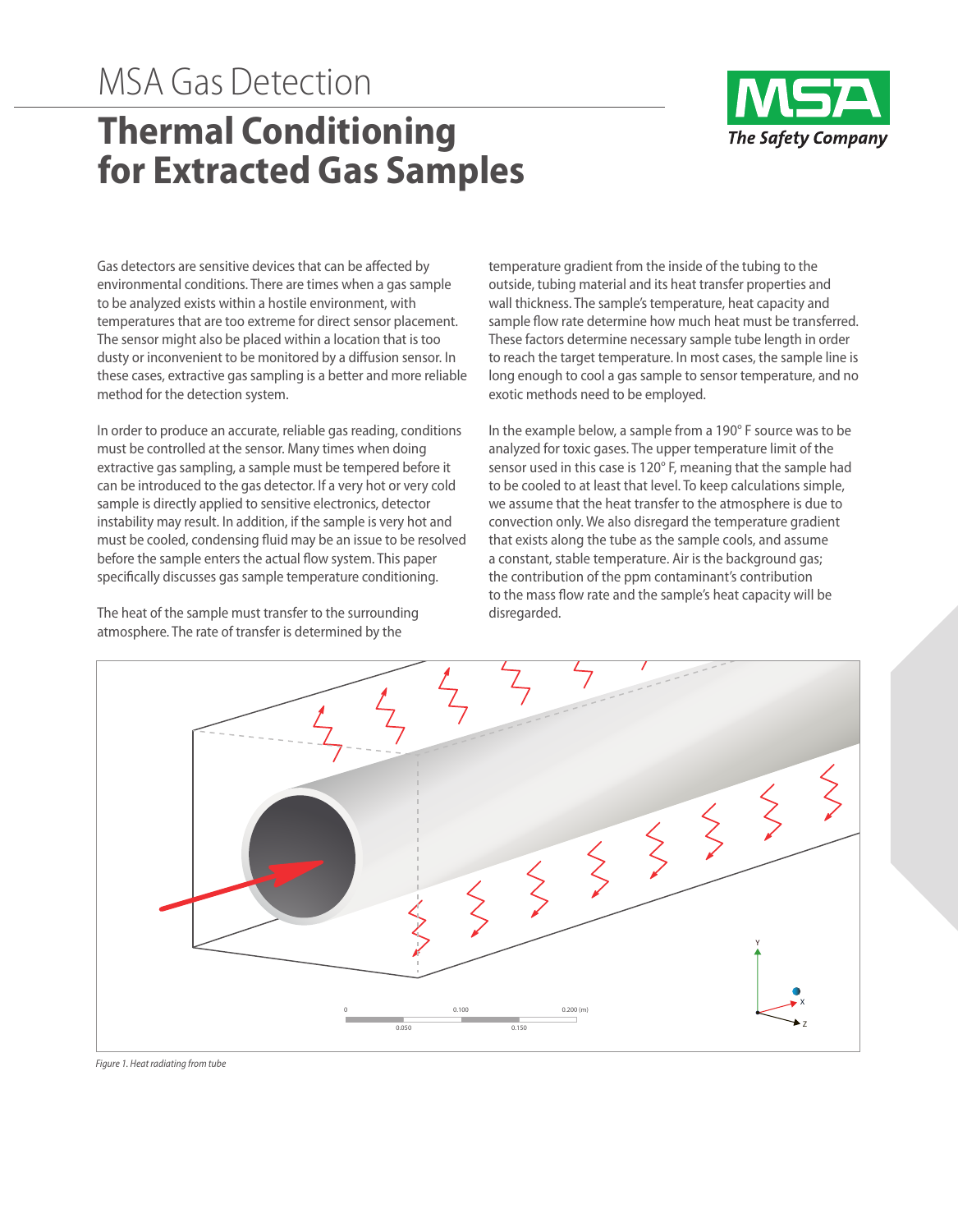## MSA Gas Detection **Thermal Conditioning for Extracted Gas Samples**



Gas detectors are sensitive devices that can be affected by environmental conditions. There are times when a gas sample to be analyzed exists within a hostile environment, with temperatures that are too extreme for direct sensor placement. The sensor might also be placed within a location that is too dusty or inconvenient to be monitored by a diffusion sensor. In these cases, extractive gas sampling is a better and more reliable method for the detection system.

In order to produce an accurate, reliable gas reading, conditions must be controlled at the sensor. Many times when doing extractive gas sampling, a sample must be tempered before it can be introduced to the gas detector. If a very hot or very cold sample is directly applied to sensitive electronics, detector instability may result. In addition, if the sample is very hot and must be cooled, condensing fluid may be an issue to be resolved before the sample enters the actual flow system. This paper specifically discusses gas sample temperature conditioning.

The heat of the sample must transfer to the surrounding atmosphere. The rate of transfer is determined by the

temperature gradient from the inside of the tubing to the outside, tubing material and its heat transfer properties and wall thickness. The sample's temperature, heat capacity and sample flow rate determine how much heat must be transferred. These factors determine necessary sample tube length in order to reach the target temperature. In most cases, the sample line is long enough to cool a gas sample to sensor temperature, and no exotic methods need to be employed.

In the example below, a sample from a 190° F source was to be analyzed for toxic gases. The upper temperature limit of the sensor used in this case is 120° F, meaning that the sample had to be cooled to at least that level. To keep calculations simple, we assume that the heat transfer to the atmosphere is due to convection only. We also disregard the temperature gradient that exists along the tube as the sample cools, and assume a constant, stable temperature. Air is the background gas; the contribution of the ppm contaminant's contribution to the mass flow rate and the sample's heat capacity will be disregarded.



*Figure 1. Heat radiating from tube*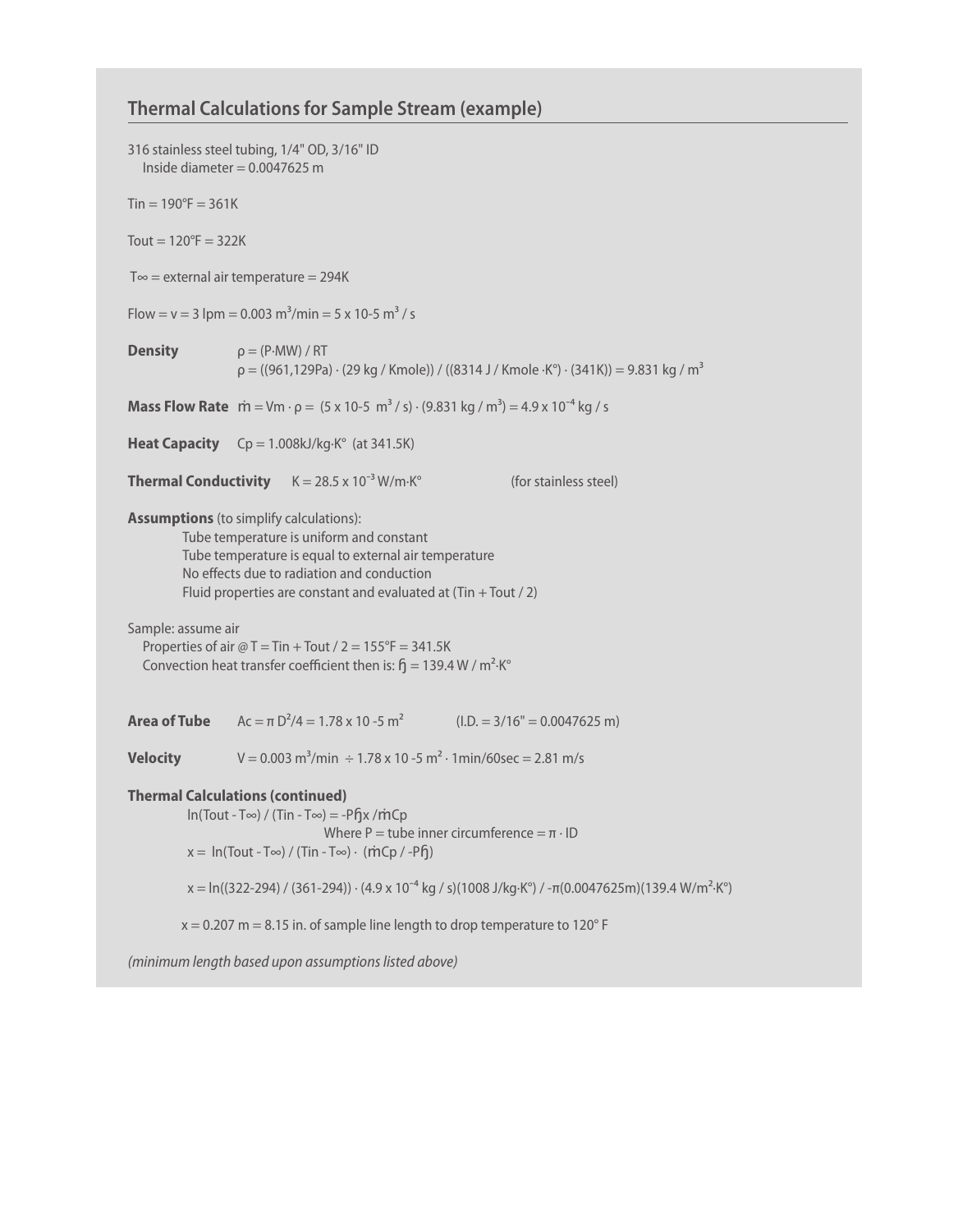## **Thermal Calculationsfor Sample Stream (example)**

|                                                                                                                                                                                                                                                                                                                                                                                                                                          | 316 stainless steel tubing, 1/4" OD, 3/16" ID<br>Inside diameter = $0.0047625$ m                                                                                       |
|------------------------------------------------------------------------------------------------------------------------------------------------------------------------------------------------------------------------------------------------------------------------------------------------------------------------------------------------------------------------------------------------------------------------------------------|------------------------------------------------------------------------------------------------------------------------------------------------------------------------|
| $T_{\text{in}} = 190^{\circ}F = 361K$                                                                                                                                                                                                                                                                                                                                                                                                    |                                                                                                                                                                        |
| Tout = $120^{\circ}F = 322K$                                                                                                                                                                                                                                                                                                                                                                                                             |                                                                                                                                                                        |
| $T \infty$ = external air temperature = 294K                                                                                                                                                                                                                                                                                                                                                                                             |                                                                                                                                                                        |
| Flow = $v = 3$ lpm = 0.003 m <sup>3</sup> /min = 5 x 10-5 m <sup>3</sup> /s                                                                                                                                                                                                                                                                                                                                                              |                                                                                                                                                                        |
| <b>Density</b>                                                                                                                                                                                                                                                                                                                                                                                                                           | $\rho = (P \cdot MW) / RT$<br>$p = ((961, 129Pa) \cdot (29 kg / Kmole)) / ((8314 J / Kmole \cdot K^{\circ}) \cdot (341K)) = 9.831 kg / m^3$                            |
|                                                                                                                                                                                                                                                                                                                                                                                                                                          | <b>Mass Flow Rate</b> $\dot{m} = Vm \cdot \rho = (5 \times 10^{-5} \text{ m}^3/\text{s}) \cdot (9.831 \text{ kg}/\text{m}^3) = 4.9 \times 10^{-4} \text{ kg}/\text{s}$ |
|                                                                                                                                                                                                                                                                                                                                                                                                                                          | <b>Heat Capacity</b> $Cp = 1.008kJ/kg·K°$ (at 341.5K)                                                                                                                  |
|                                                                                                                                                                                                                                                                                                                                                                                                                                          | <b>Thermal Conductivity</b> $K = 28.5 \times 10^{-3}$ W/m·K <sup>o</sup><br>(for stainless steel)                                                                      |
| <b>Assumptions</b> (to simplify calculations):<br>Tube temperature is uniform and constant<br>Tube temperature is equal to external air temperature<br>No effects due to radiation and conduction<br>Fluid properties are constant and evaluated at $(Tin + Tout / 2)$<br>Sample: assume air<br>Properties of air $@T = Tin + Tout / 2 = 155^{\circ}F = 341.5K$<br>Convection heat transfer coefficient then is: $f_1 = 139.4 W/m^2$ ·K° |                                                                                                                                                                        |
|                                                                                                                                                                                                                                                                                                                                                                                                                                          | <b>Area of Tube</b> $Ac = \pi D^2/4 = 1.78 \times 10^{-5} m^2$ (I.D. = 3/16" = 0.0047625 m)                                                                            |
| <b>Velocity</b>                                                                                                                                                                                                                                                                                                                                                                                                                          | V = 0.003 m <sup>3</sup> /min $\div$ 1.78 x 10 -5 m <sup>2</sup> · 1min/60sec = 2.81 m/s                                                                               |
| <b>Thermal Calculations (continued)</b><br>$\ln(Tout - T\infty)$ / (Tin - T $\infty$ ) = -P $\int$ x /m̀Cp<br>Where P = tube inner circumference = $\pi \cdot$ ID<br>$x = \ln(Tout - T\infty) / (Tin - T\infty) \cdot (mCp / -Pf)$                                                                                                                                                                                                       |                                                                                                                                                                        |
|                                                                                                                                                                                                                                                                                                                                                                                                                                          | $x = ln((322-294) / (361-294))$ · (4.9 x 10 <sup>-4</sup> kg / s)(1008 J/kg·K°) / -π(0.0047625m)(139.4 W/m <sup>2</sup> ·K°)                                           |
| $x = 0.207$ m = 8.15 in. of sample line length to drop temperature to 120° F                                                                                                                                                                                                                                                                                                                                                             |                                                                                                                                                                        |
| (minimum length based upon assumptions listed above)                                                                                                                                                                                                                                                                                                                                                                                     |                                                                                                                                                                        |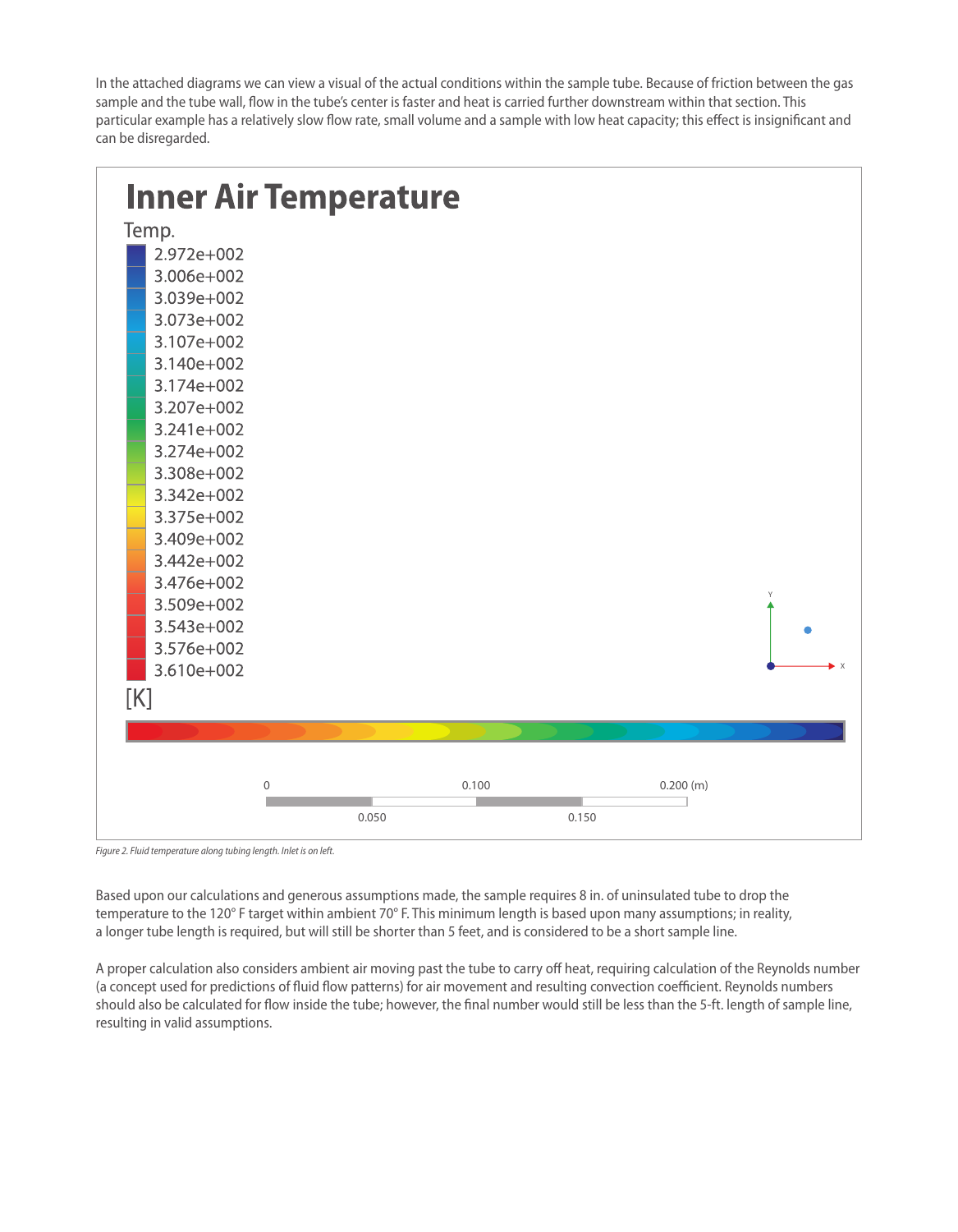In the attached diagrams we can view a visual of the actual conditions within the sample tube. Because of friction between the gas sample and the tube wall, flow in the tube's center is faster and heat is carried further downstream within that section. This particular example has a relatively slow flow rate, small volume and a sample with low heat capacity; this effect is insignificant and can be disregarded.



*Figure 2. Fluid temperature along tubing length. Inlet is on left.*

Based upon our calculations and generous assumptions made, the sample requires 8 in. of uninsulated tube to drop the temperature to the 120° F target within ambient 70° F. This minimum length is based upon many assumptions; in reality, a longer tube length is required, but will still be shorter than 5 feet, and is considered to be a short sample line.

A proper calculation also considers ambient air moving past the tube to carry off heat, requiring calculation of the Reynolds number (a concept used for predictions of fluid flow patterns) for air movement and resulting convection coefficient. Reynolds numbers should also be calculated for flow inside the tube; however, the final number would still be less than the 5-ft. length of sample line, resulting in valid assumptions.